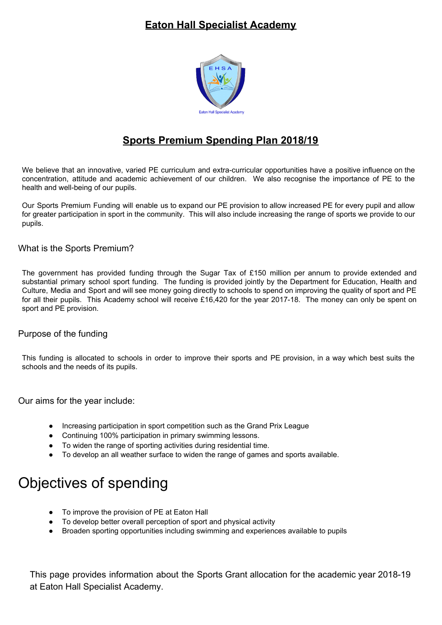## **Eaton Hall Specialist Academy**



## **Sports Premium Spending Plan 2018/19**

We believe that an innovative, varied PE curriculum and extra-curricular opportunities have a positive influence on the concentration, attitude and academic achievement of our children. We also recognise the importance of PE to the health and well-being of our pupils.

Our Sports Premium Funding will enable us to expand our PE provision to allow increased PE for every pupil and allow for greater participation in sport in the community. This will also include increasing the range of sports we provide to our pupils.

What is the Sports Premium?

The government has provided funding through the Sugar Tax of £150 million per annum to provide extended and substantial primary school sport funding. The funding is provided jointly by the Department for Education, Health and Culture, Media and Sport and will see money going directly to schools to spend on improving the quality of sport and PE for all their pupils. This Academy school will receive £16,420 for the year 2017-18. The money can only be spent on sport and PE provision.

## Purpose of the funding

This funding is allocated to schools in order to improve their sports and PE provision, in a way which best suits the schools and the needs of its pupils.

Our aims for the year include:

- Increasing participation in sport competition such as the Grand Prix League
- Continuing 100% participation in primary swimming lessons.
- To widen the range of sporting activities during residential time.
- To develop an all weather surface to widen the range of games and sports available.

## Objectives of spending

- To improve the provision of PE at Eaton Hall
- To develop better overall perception of sport and physical activity
- Broaden sporting opportunities including swimming and experiences available to pupils

This page provides information about the Sports Grant allocation for the academic year 2018-19 at Eaton Hall Specialist Academy.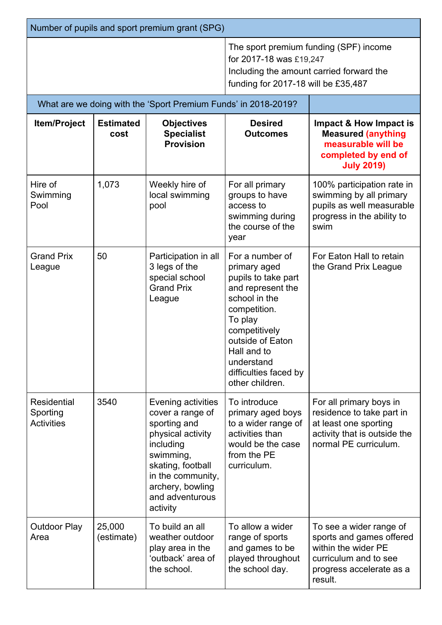| Number of pupils and sport premium grant (SPG)      |                          |                                                                                                                                                                                                    |                                                                                                                                                                                                                                       |                                                                                                                                            |  |  |  |
|-----------------------------------------------------|--------------------------|----------------------------------------------------------------------------------------------------------------------------------------------------------------------------------------------------|---------------------------------------------------------------------------------------------------------------------------------------------------------------------------------------------------------------------------------------|--------------------------------------------------------------------------------------------------------------------------------------------|--|--|--|
|                                                     |                          |                                                                                                                                                                                                    | The sport premium funding (SPF) income<br>for 2017-18 was £19,247<br>Including the amount carried forward the<br>funding for 2017-18 will be £35,487                                                                                  |                                                                                                                                            |  |  |  |
|                                                     |                          | What are we doing with the 'Sport Premium Funds' in 2018-2019?                                                                                                                                     |                                                                                                                                                                                                                                       |                                                                                                                                            |  |  |  |
| <b>Item/Project</b>                                 | <b>Estimated</b><br>cost | <b>Objectives</b><br><b>Specialist</b><br><b>Provision</b>                                                                                                                                         | <b>Desired</b><br><b>Outcomes</b>                                                                                                                                                                                                     | Impact & How Impact is<br><b>Measured (anything</b><br>measurable will be<br>completed by end of<br><b>July 2019)</b>                      |  |  |  |
| Hire of<br>Swimming<br>Pool                         | 1,073                    | Weekly hire of<br>local swimming<br>pool                                                                                                                                                           | For all primary<br>groups to have<br>access to<br>swimming during<br>the course of the<br>year                                                                                                                                        | 100% participation rate in<br>swimming by all primary<br>pupils as well measurable<br>progress in the ability to<br>swim                   |  |  |  |
| <b>Grand Prix</b><br>League                         | 50                       | Participation in all<br>3 legs of the<br>special school<br><b>Grand Prix</b><br>League                                                                                                             | For a number of<br>primary aged<br>pupils to take part<br>and represent the<br>school in the<br>competition.<br>To play<br>competitively<br>outside of Eaton<br>Hall and to<br>understand<br>difficulties faced by<br>other children. | For Eaton Hall to retain<br>the Grand Prix League                                                                                          |  |  |  |
| <b>Residential</b><br>Sporting<br><b>Activities</b> | 3540                     | Evening activities<br>cover a range of<br>sporting and<br>physical activity<br>including<br>swimming,<br>skating, football<br>in the community,<br>archery, bowling<br>and adventurous<br>activity | To introduce<br>primary aged boys<br>to a wider range of<br>activities than<br>would be the case<br>from the PE<br>curriculum.                                                                                                        | For all primary boys in<br>residence to take part in<br>at least one sporting<br>activity that is outside the<br>normal PE curriculum.     |  |  |  |
| <b>Outdoor Play</b><br>Area                         | 25,000<br>(estimate)     | To build an all<br>weather outdoor<br>play area in the<br>'outback' area of<br>the school.                                                                                                         | To allow a wider<br>range of sports<br>and games to be<br>played throughout<br>the school day.                                                                                                                                        | To see a wider range of<br>sports and games offered<br>within the wider PE<br>curriculum and to see<br>progress accelerate as a<br>result. |  |  |  |